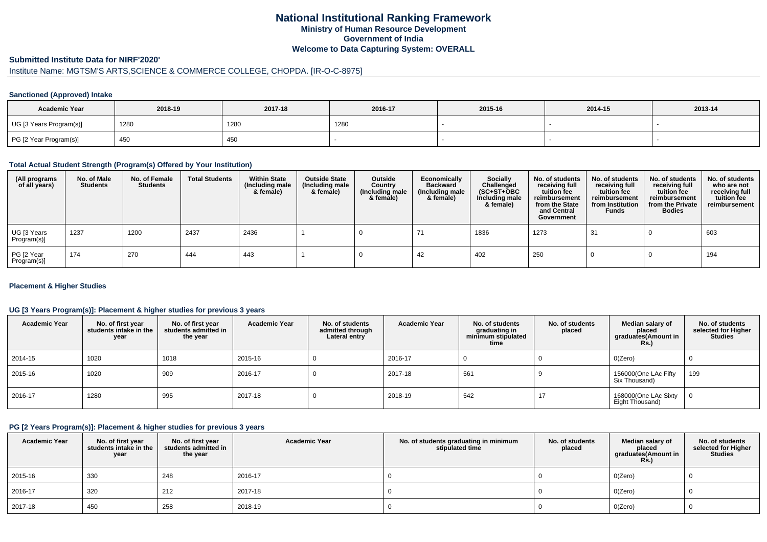## **National Institutional Ranking FrameworkMinistry of Human Resource DevelopmentGovernment of IndiaWelcome to Data Capturing System: OVERALL**

#### **Submitted Institute Data for NIRF'2020'**

# Institute Name: MGTSM'S ARTS,SCIENCE & COMMERCE COLLEGE, CHOPDA. [IR-O-C-8975]

#### **Sanctioned (Approved) Intake**

| <b>Academic Year</b>    | 2018-19 | 2017-18 | 2016-17 | 2015-16 | 2014-15 | 2013-14 |
|-------------------------|---------|---------|---------|---------|---------|---------|
| UG [3 Years Program(s)] | 1280    | 1280    | 1280    |         |         |         |
| PG [2 Year Program(s)]  | 450     | 450     |         |         |         |         |

#### **Total Actual Student Strength (Program(s) Offered by Your Institution)**

| (All programs<br>of all years) | No. of Male<br><b>Students</b> | No. of Female<br><b>Students</b> | <b>Total Students</b> | <b>Within State</b><br>(Including male<br>& female) | <b>Outside State</b><br>(Including male<br>& female) | Outside<br>Country<br>(Including male<br>& female) | Economically<br><b>Backward</b><br>(Including male<br>& female) | <b>Socially</b><br>Challenged<br>$(SC+ST+OBC)$<br>Including male<br>& female) | No. of students<br>receiving full<br>tuition fee<br>reimbursement<br>from the State<br>and Central<br>Government | No. of students<br>receiving full<br>tuition fee<br>reimbursement<br>from Institution<br><b>Funds</b> | No. of students<br>receiving full<br>tuition fee<br>reimbursement<br>from the Private<br><b>Bodies</b> | No. of students<br>who are not<br>receiving full<br>tuition fee<br>reimbursement |
|--------------------------------|--------------------------------|----------------------------------|-----------------------|-----------------------------------------------------|------------------------------------------------------|----------------------------------------------------|-----------------------------------------------------------------|-------------------------------------------------------------------------------|------------------------------------------------------------------------------------------------------------------|-------------------------------------------------------------------------------------------------------|--------------------------------------------------------------------------------------------------------|----------------------------------------------------------------------------------|
| UG [3 Years<br>Program(s)]     | 1237                           | 1200                             | 2437                  | 2436                                                |                                                      |                                                    |                                                                 | 1836                                                                          | 1273                                                                                                             | 31                                                                                                    |                                                                                                        | 603                                                                              |
| PG [2 Year<br>Program(s)]      | 174                            | 270                              | 444                   | 443                                                 |                                                      |                                                    | 42                                                              | 402                                                                           | <b>250</b>                                                                                                       |                                                                                                       |                                                                                                        | 194                                                                              |

#### **Placement & Higher Studies**

#### **UG [3 Years Program(s)]: Placement & higher studies for previous 3 years**

| <b>Academic Year</b> | No. of first year<br>students intake in the<br>year | No. of first vear<br>students admitted in<br>the year | <b>Academic Year</b> | No. of students<br>admitted through<br>Lateral entry | <b>Academic Year</b> | No. of students<br>graduating in<br>minimum stipulated<br>time | No. of students<br>placed | Median salary of<br>placed<br>graduates(Amount in<br><b>Rs.)</b> | No. of students<br>selected for Higher<br><b>Studies</b> |
|----------------------|-----------------------------------------------------|-------------------------------------------------------|----------------------|------------------------------------------------------|----------------------|----------------------------------------------------------------|---------------------------|------------------------------------------------------------------|----------------------------------------------------------|
| 2014-15              | 1020                                                | 1018                                                  | 2015-16              |                                                      | 2016-17              |                                                                |                           | O(Zero)                                                          |                                                          |
| 2015-16              | 1020                                                | 909                                                   | 2016-17              |                                                      | 2017-18              | 561                                                            |                           | 156000(One LAc Fifty<br>Six Thousand)                            | 199                                                      |
| 2016-17              | 1280                                                | 995                                                   | 2017-18              | υ                                                    | 2018-19              | 542                                                            | 17                        | 168000(One LAc Sixty<br>Eight Thousand)                          |                                                          |

#### **PG [2 Years Program(s)]: Placement & higher studies for previous 3 years**

| <b>Academic Year</b> | No. of first year<br>students intake in the<br>year | No. of first year<br>students admitted in<br>the year | <b>Academic Year</b> | No. of students graduating in minimum<br>stipulated time | No. of students<br>placed | Median salary of<br>placed<br>graduates(Amount in<br><b>Rs.)</b> | No. of students<br>selected for Higher<br>Studies |
|----------------------|-----------------------------------------------------|-------------------------------------------------------|----------------------|----------------------------------------------------------|---------------------------|------------------------------------------------------------------|---------------------------------------------------|
| 2015-16              | 330                                                 | 248                                                   | 2016-17              |                                                          |                           | O(Zero)                                                          |                                                   |
| 2016-17              | 320                                                 | 212                                                   | 2017-18              |                                                          |                           | O(Zero)                                                          |                                                   |
| 2017-18              | 450                                                 | 258                                                   | 2018-19              |                                                          |                           | O(Zero)                                                          |                                                   |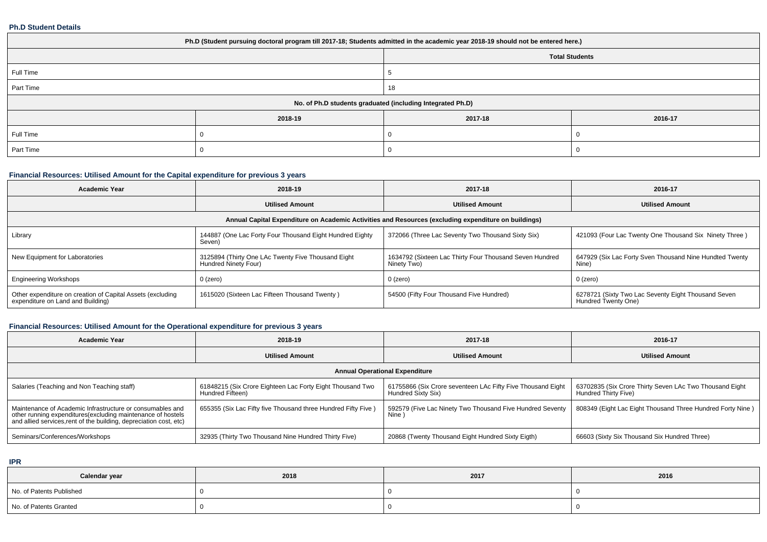#### **Ph.D Student Details**

| Ph.D (Student pursuing doctoral program till 2017-18; Students admitted in the academic year 2018-19 should not be entered here.) |         |                       |         |  |  |
|-----------------------------------------------------------------------------------------------------------------------------------|---------|-----------------------|---------|--|--|
|                                                                                                                                   |         | <b>Total Students</b> |         |  |  |
| Full Time                                                                                                                         |         |                       |         |  |  |
| Part Time                                                                                                                         |         | 18                    |         |  |  |
| No. of Ph.D students graduated (including Integrated Ph.D)                                                                        |         |                       |         |  |  |
|                                                                                                                                   | 2018-19 | 2017-18               | 2016-17 |  |  |
| Full Time                                                                                                                         |         |                       |         |  |  |
| Part Time                                                                                                                         |         |                       |         |  |  |

## **Financial Resources: Utilised Amount for the Capital expenditure for previous 3 years**

| Academic Year                                                                                        | 2018-19                                                                    | 2017-18                                                                | 2016-17                                                                    |  |  |  |
|------------------------------------------------------------------------------------------------------|----------------------------------------------------------------------------|------------------------------------------------------------------------|----------------------------------------------------------------------------|--|--|--|
|                                                                                                      | <b>Utilised Amount</b>                                                     | <b>Utilised Amount</b>                                                 | <b>Utilised Amount</b>                                                     |  |  |  |
| Annual Capital Expenditure on Academic Activities and Resources (excluding expenditure on buildings) |                                                                            |                                                                        |                                                                            |  |  |  |
| Library                                                                                              | 144887 (One Lac Forty Four Thousand Eight Hundred Eighty<br>Seven)         | 372066 (Three Lac Seventy Two Thousand Sixty Six)                      | 421093 (Four Lac Twenty One Thousand Six Ninety Three)                     |  |  |  |
| New Equipment for Laboratories                                                                       | 3125894 (Thirty One LAc Twenty Five Thousand Eight<br>Hundred Ninety Four) | 1634792 (Sixteen Lac Thirty Four Thousand Seven Hundred<br>Ninety Two) | 647929 (Six Lac Forty Sven Thousand Nine Hundted Twenty<br>Nine)           |  |  |  |
| <b>Engineering Workshops</b>                                                                         | 0 (zero)                                                                   | 0 (zero)                                                               | 0 (zero)                                                                   |  |  |  |
| Other expenditure on creation of Capital Assets (excluding<br>expenditure on Land and Building)      | 1615020 (Sixteen Lac Fifteen Thousand Twenty)                              | 54500 (Fifty Four Thousand Five Hundred)                               | 6278721 (Sixty Two Lac Seventy Eight Thousand Seven<br>Hundred Twenty One) |  |  |  |

## **Financial Resources: Utilised Amount for the Operational expenditure for previous 3 years**

| <b>Academic Year</b>                                                                                                                                                                           | 2018-19                                                                       | 2017-18                                                                           | 2016-17                                                                         |  |  |  |
|------------------------------------------------------------------------------------------------------------------------------------------------------------------------------------------------|-------------------------------------------------------------------------------|-----------------------------------------------------------------------------------|---------------------------------------------------------------------------------|--|--|--|
|                                                                                                                                                                                                | <b>Utilised Amount</b>                                                        | <b>Utilised Amount</b>                                                            | <b>Utilised Amount</b>                                                          |  |  |  |
| <b>Annual Operational Expenditure</b>                                                                                                                                                          |                                                                               |                                                                                   |                                                                                 |  |  |  |
| Salaries (Teaching and Non Teaching staff)                                                                                                                                                     | 61848215 (Six Crore Eighteen Lac Forty Eight Thousand Two<br>Hundred Fifteen) | 61755866 (Six Crore seventeen LAc Fifty Five Thousand Eight<br>Hundred Sixty Six) | 63702835 (Six Crore Thirty Seven LAc Two Thousand Eight<br>Hundred Thirty Five) |  |  |  |
| Maintenance of Academic Infrastructure or consumables and<br>other running expenditures(excluding maintenance of hostels<br>and allied services, rent of the building, depreciation cost, etc) | 655355 (Six Lac Fifty five Thousand three Hundred Fifty Five)                 | 592579 (Five Lac Ninety Two Thousand Five Hundred Seventy<br>Nine                 | 808349 (Eight Lac Eight Thousand Three Hundred Forty Nine)                      |  |  |  |
| Seminars/Conferences/Workshops                                                                                                                                                                 | 32935 (Thirty Two Thousand Nine Hundred Thirty Five)                          | 20868 (Twenty Thousand Eight Hundred Sixty Eigth)                                 | 66603 (Sixty Six Thousand Six Hundred Three)                                    |  |  |  |

**IPR**

| Calendar year            | 2018 | 2017 | 2016 |
|--------------------------|------|------|------|
| No. of Patents Published |      |      |      |
| No. of Patents Granted   |      |      |      |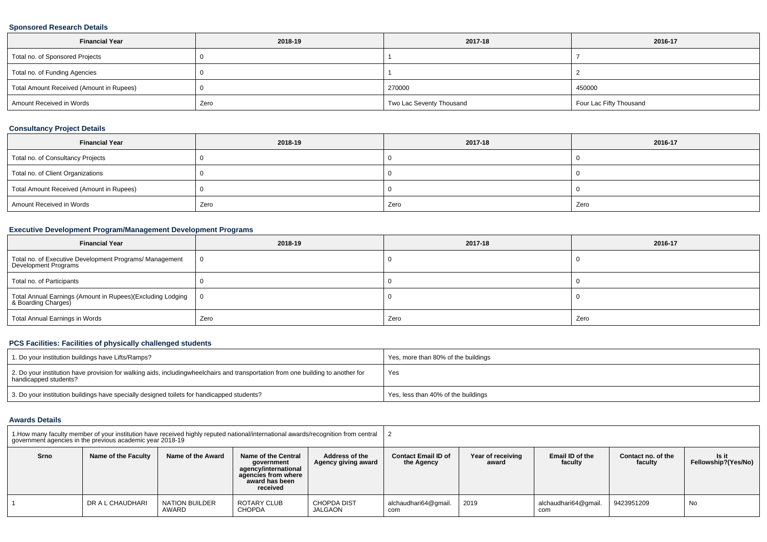### **Sponsored Research Details**

| <b>Financial Year</b>                    | 2018-19 | 2017-18                  | 2016-17                 |
|------------------------------------------|---------|--------------------------|-------------------------|
| Total no. of Sponsored Projects          |         |                          |                         |
| Total no. of Funding Agencies            |         |                          |                         |
| Total Amount Received (Amount in Rupees) |         | 270000                   | 450000                  |
| Amount Received in Words                 | Zero    | Two Lac Seventy Thousand | Four Lac Fifty Thousand |

### **Consultancy Project Details**

| <b>Financial Year</b>                    | 2018-19 | 2017-18 | 2016-17 |
|------------------------------------------|---------|---------|---------|
| Total no. of Consultancy Projects        |         |         |         |
| Total no. of Client Organizations        |         |         |         |
| Total Amount Received (Amount in Rupees) |         |         |         |
| Amount Received in Words                 | Zero    | Zero    | Zero    |

## **Executive Development Program/Management Development Programs**

| <b>Financial Year</b>                                                             | 2018-19  | 2017-18 | 2016-17 |
|-----------------------------------------------------------------------------------|----------|---------|---------|
| Total no. of Executive Development Programs/ Management<br>Development Programs   | <b>O</b> |         |         |
| Total no. of Participants                                                         |          |         |         |
| Total Annual Earnings (Amount in Rupees)(Excluding Lodging<br>& Boarding Charges) | ∣ O      |         |         |
| Total Annual Earnings in Words                                                    | Zero     | Zero    | Zero    |

## **PCS Facilities: Facilities of physically challenged students**

| 1. Do your institution buildings have Lifts/Ramps?                                                                                                        | Yes, more than 80% of the buildings |
|-----------------------------------------------------------------------------------------------------------------------------------------------------------|-------------------------------------|
| 2. Do your institution have provision for walking aids, includingwheelchairs and transportation from one building to another for<br>handicapped students? | Yes                                 |
| 3. Do your institution buildings have specially designed toilets for handicapped students?                                                                | Yes, less than 40% of the buildings |

#### **Awards Details**

|      | 1. How many faculty member of your institution have received highly reputed national/international awards/recognition from central<br>government agencies in the previous academic year 2018-19 |                                |                                                                                                                                                         |                               |                                          |                            |                             |                               |                              |
|------|-------------------------------------------------------------------------------------------------------------------------------------------------------------------------------------------------|--------------------------------|---------------------------------------------------------------------------------------------------------------------------------------------------------|-------------------------------|------------------------------------------|----------------------------|-----------------------------|-------------------------------|------------------------------|
| Srno | Name of the Faculty                                                                                                                                                                             | Name of the Award              | Address of the<br>Name of the Central<br>Agency giving award<br>government<br>agency/international<br>agencies from where<br>award has been<br>received |                               | <b>Contact Email ID of</b><br>the Agency | Year of receiving<br>award | Email ID of the<br>faculty  | Contact no. of the<br>faculty | ls it<br>Fellowship?(Yes/No) |
|      | DR A L CHAUDHARI                                                                                                                                                                                | <b>NATION BUILDER</b><br>AWARD | ROTARY CLUB<br><b>CHOPDA</b>                                                                                                                            | <b>CHOPDA DIST</b><br>JALGAON | alchaudhari64@gmail.<br>com              | 2019                       | alchaudhari64@qmail.<br>com | 9423951209                    | No                           |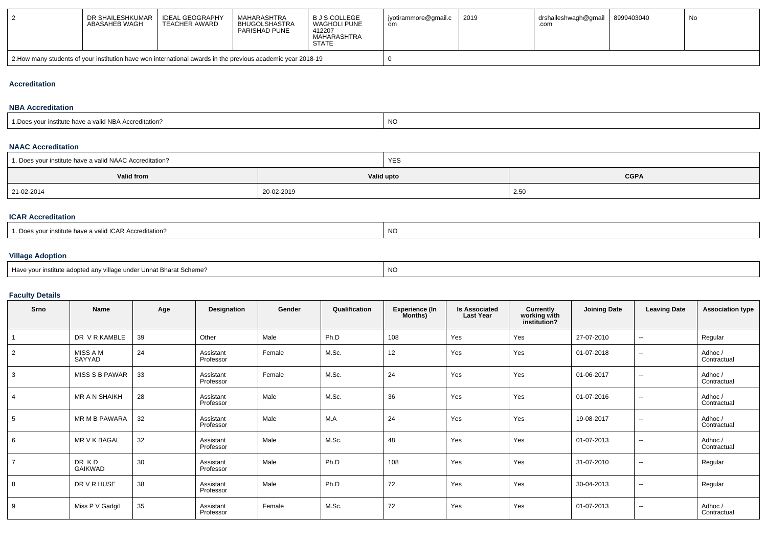| DR SHAILESHKUMAR<br>ABASAHEB WAGH                                                                             | <b>IDEAL GEOGRAPHY</b><br>TEACHER AWARD | MAHARASHTRA<br>BHUGOLSHASTRA<br>PARISHAD PUNE | B J S COLLEGE<br>WAGHOLI PUNE<br>412207<br>MAHARASHTRA<br><b>STATE</b> | jyotirammore@gmail.c<br>om | 2019 | drshaileshwagh@gmail<br>.com | 8999403040 | No |  |
|---------------------------------------------------------------------------------------------------------------|-----------------------------------------|-----------------------------------------------|------------------------------------------------------------------------|----------------------------|------|------------------------------|------------|----|--|
| 2. Alow many students of your institution have won international awards in the previous academic year 2018-19 |                                         |                                               |                                                                        |                            |      |                              |            |    |  |

### **Accreditation**

#### **NBA Accreditation**

| .<br>n-<br>ccreditation <sup>*</sup><br>valid NBA <i>i</i><br>istitute riave<br>vu. | <sub>NO</sub> |
|-------------------------------------------------------------------------------------|---------------|
|-------------------------------------------------------------------------------------|---------------|

### **NAAC Accreditation**

| 1. Does your institute have a valid NAAC Accreditation? |            | <b>YES</b>                |      |  |  |  |
|---------------------------------------------------------|------------|---------------------------|------|--|--|--|
| <b>Valid from</b>                                       |            | <b>CGPA</b><br>Valid upto |      |  |  |  |
| 21-02-2014                                              | 20-02-2019 |                           | 2.50 |  |  |  |

## **ICAR Accreditation**

|--|

## **Village Adoption**

| Have vour institute adopted anv village under Unnat Bharat Scheme? | NO |
|--------------------------------------------------------------------|----|
|--------------------------------------------------------------------|----|

# **Faculty Details**

| Srno           | Name               | Age | Designation            | Gender | Qualification | <b>Experience (In</b><br>Months) | <b>Is Associated</b><br><b>Last Year</b> | Currently<br>working with<br>institution? | <b>Joining Date</b> | <b>Leaving Date</b> | <b>Association type</b> |
|----------------|--------------------|-----|------------------------|--------|---------------|----------------------------------|------------------------------------------|-------------------------------------------|---------------------|---------------------|-------------------------|
|                | DR V R KAMBLE      | 39  | Other                  | Male   | Ph.D          | 108                              | Yes                                      | Yes                                       | 27-07-2010          | $\overline{a}$      | Regular                 |
| $\overline{2}$ | MISS A M<br>SAYYAD | 24  | Assistant<br>Professor | Female | M.Sc.         | 12                               | Yes                                      | Yes                                       | 01-07-2018          | $\sim$              | Adhoc /<br>Contractual  |
| 3              | MISS S B PAWAR     | 33  | Assistant<br>Professor | Female | M.Sc.         | 24                               | Yes                                      | Yes                                       | 01-06-2017          | $\sim$              | Adhoc /<br>Contractual  |
| $\overline{4}$ | MR A N SHAIKH      | 28  | Assistant<br>Professor | Male   | M.Sc.         | 36                               | Yes                                      | Yes                                       | 01-07-2016          | $\sim$              | Adhoc /<br>Contractual  |
| 5              | MR M B PAWARA      | 32  | Assistant<br>Professor | Male   | M.A           | 24                               | Yes                                      | Yes                                       | 19-08-2017          | $\sim$              | Adhoc /<br>Contractual  |
| 6              | MR V K BAGAL       | 32  | Assistant<br>Professor | Male   | M.Sc.         | 48                               | Yes                                      | Yes                                       | 01-07-2013          | $\sim$              | Adhoc /<br>Contractual  |
| $\overline{7}$ | DR KD<br>GAIKWAD   | 30  | Assistant<br>Professor | Male   | Ph.D          | 108                              | Yes                                      | Yes                                       | 31-07-2010          | $\sim$              | Regular                 |
| 8              | DR V R HUSE        | 38  | Assistant<br>Professor | Male   | Ph.D          | 72                               | Yes                                      | Yes                                       | 30-04-2013          | $\sim$              | Regular                 |
| 9              | Miss P V Gadgil    | 35  | Assistant<br>Professor | Female | M.Sc.         | 72                               | Yes                                      | Yes                                       | 01-07-2013          | $\sim$              | Adhoc /<br>Contractual  |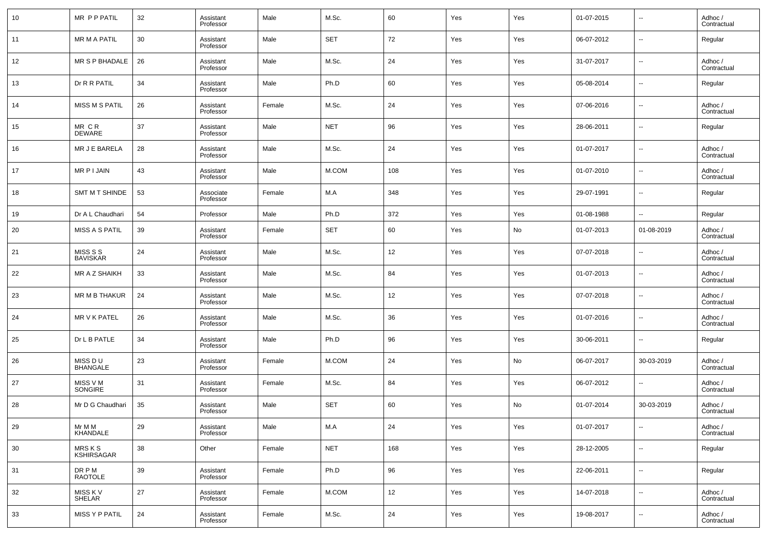| 10 | MR P P PATIL                 | 32 | Assistant<br>Professor | Male   | M.Sc.      | 60  | Yes | Yes | 01-07-2015 | $\overline{\phantom{a}}$ | Adhoc /<br>Contractual |
|----|------------------------------|----|------------------------|--------|------------|-----|-----|-----|------------|--------------------------|------------------------|
| 11 | <b>MR M A PATIL</b>          | 30 | Assistant<br>Professor | Male   | <b>SET</b> | 72  | Yes | Yes | 06-07-2012 | $\overline{\phantom{a}}$ | Regular                |
| 12 | MR S P BHADALE               | 26 | Assistant<br>Professor | Male   | M.Sc.      | 24  | Yes | Yes | 31-07-2017 | $\overline{\phantom{a}}$ | Adhoc /<br>Contractual |
| 13 | Dr R R PATIL                 | 34 | Assistant<br>Professor | Male   | Ph.D       | 60  | Yes | Yes | 05-08-2014 | $\overline{\phantom{a}}$ | Regular                |
| 14 | MISS M S PATIL               | 26 | Assistant<br>Professor | Female | M.Sc.      | 24  | Yes | Yes | 07-06-2016 | $\overline{\phantom{a}}$ | Adhoc /<br>Contractual |
| 15 | $MR$ $CR$<br><b>DEWARE</b>   | 37 | Assistant<br>Professor | Male   | <b>NET</b> | 96  | Yes | Yes | 28-06-2011 | $\overline{\phantom{a}}$ | Regular                |
| 16 | MR J E BARELA                | 28 | Assistant<br>Professor | Male   | M.Sc.      | 24  | Yes | Yes | 01-07-2017 | $\overline{\phantom{a}}$ | Adhoc /<br>Contractual |
| 17 | MR P I JAIN                  | 43 | Assistant<br>Professor | Male   | M.COM      | 108 | Yes | Yes | 01-07-2010 | $\overline{\phantom{a}}$ | Adhoc /<br>Contractual |
| 18 | SMT M T SHINDE               | 53 | Associate<br>Professor | Female | M.A        | 348 | Yes | Yes | 29-07-1991 | $\overline{\phantom{a}}$ | Regular                |
| 19 | Dr A L Chaudhari             | 54 | Professor              | Male   | Ph.D       | 372 | Yes | Yes | 01-08-1988 | $\sim$                   | Regular                |
| 20 | MISS A S PATIL               | 39 | Assistant<br>Professor | Female | <b>SET</b> | 60  | Yes | No  | 01-07-2013 | 01-08-2019               | Adhoc /<br>Contractual |
| 21 | MISS S S<br><b>BAVISKAR</b>  | 24 | Assistant<br>Professor | Male   | M.Sc.      | 12  | Yes | Yes | 07-07-2018 | $\overline{\phantom{a}}$ | Adhoc /<br>Contractual |
| 22 | MR A Z SHAIKH                | 33 | Assistant<br>Professor | Male   | M.Sc.      | 84  | Yes | Yes | 01-07-2013 | $\overline{\phantom{a}}$ | Adhoc /<br>Contractual |
| 23 | MR M B THAKUR                | 24 | Assistant<br>Professor | Male   | M.Sc.      | 12  | Yes | Yes | 07-07-2018 | $\overline{\phantom{a}}$ | Adhoc /<br>Contractual |
| 24 | <b>MR V K PATEL</b>          | 26 | Assistant<br>Professor | Male   | M.Sc.      | 36  | Yes | Yes | 01-07-2016 | $\overline{\phantom{a}}$ | Adhoc /<br>Contractual |
| 25 | Dr L B PATLE                 | 34 | Assistant<br>Professor | Male   | Ph.D       | 96  | Yes | Yes | 30-06-2011 | $\overline{\phantom{a}}$ | Regular                |
| 26 | MISS DU<br><b>BHANGALE</b>   | 23 | Assistant<br>Professor | Female | M.COM      | 24  | Yes | No  | 06-07-2017 | 30-03-2019               | Adhoc /<br>Contractual |
| 27 | MISS V M<br>SONGIRE          | 31 | Assistant<br>Professor | Female | M.Sc.      | 84  | Yes | Yes | 06-07-2012 | $\overline{\phantom{a}}$ | Adhoc /<br>Contractual |
| 28 | Mr D G Chaudhari             | 35 | Assistant<br>Professor | Male   | <b>SET</b> | 60  | Yes | No  | 01-07-2014 | 30-03-2019               | Adhoc /<br>Contractual |
| 29 | Mr M M<br>KHANDALE           | 29 | Assistant<br>Professor | Male   | M.A        | 24  | Yes | Yes | 01-07-2017 | $\overline{\phantom{a}}$ | Adhoc /<br>Contractual |
| 30 | MRS K S<br><b>KSHIRSAGAR</b> | 38 | Other                  | Female | <b>NET</b> | 168 | Yes | Yes | 28-12-2005 | $\overline{\phantom{a}}$ | Regular                |
| 31 | DR P M<br><b>RAOTOLE</b>     | 39 | Assistant<br>Professor | Female | Ph.D       | 96  | Yes | Yes | 22-06-2011 | ۰.                       | Regular                |
| 32 | MISS K V<br>SHELAR           | 27 | Assistant<br>Professor | Female | M.COM      | 12  | Yes | Yes | 14-07-2018 | $\overline{\phantom{a}}$ | Adhoc /<br>Contractual |
| 33 | MISS Y P PATIL               | 24 | Assistant<br>Professor | Female | M.Sc.      | 24  | Yes | Yes | 19-08-2017 | $\overline{\phantom{a}}$ | Adhoc /<br>Contractual |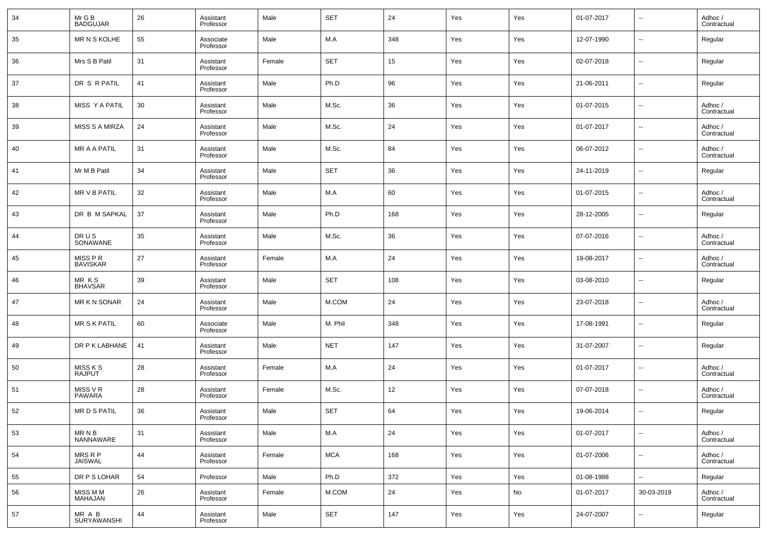| 34 | Mr G B<br><b>BADGUJAR</b>                              | 26 | Assistant<br>Professor | Male   | <b>SET</b> | 24    | Yes | Yes | 01-07-2017 | $\sim$                   | Adhoc /<br>Contractual |
|----|--------------------------------------------------------|----|------------------------|--------|------------|-------|-----|-----|------------|--------------------------|------------------------|
| 35 | MR N S KOLHE                                           | 55 | Associate<br>Professor | Male   | M.A        | 348   | Yes | Yes | 12-07-1990 | --                       | Regular                |
| 36 | Mrs S B Patil                                          | 31 | Assistant<br>Professor | Female | <b>SET</b> | 15    | Yes | Yes | 02-07-2018 | ш,                       | Regular                |
| 37 | DR S R PATIL                                           | 41 | Assistant<br>Professor | Male   | Ph.D       | 96    | Yes | Yes | 21-06-2011 | $\sim$                   | Regular                |
| 38 | MISS Y A PATIL                                         | 30 | Assistant<br>Professor | Male   | M.Sc.      | 36    | Yes | Yes | 01-07-2015 | ш,                       | Adhoc /<br>Contractual |
| 39 | <b>MISS S A MIRZA</b>                                  | 24 | Assistant<br>Professor | Male   | M.Sc.      | 24    | Yes | Yes | 01-07-2017 | $\overline{\phantom{a}}$ | Adhoc /<br>Contractual |
| 40 | MR A A PATIL                                           | 31 | Assistant<br>Professor | Male   | M.Sc.      | 84    | Yes | Yes | 06-07-2012 | ш,                       | Adhoc /<br>Contractual |
| 41 | Mr M B Patil                                           | 34 | Assistant<br>Professor | Male   | <b>SET</b> | 36    | Yes | Yes | 24-11-2019 | $\overline{\phantom{a}}$ | Regular                |
| 42 | MR V B PATIL                                           | 32 | Assistant<br>Professor | Male   | M.A        | 60    | Yes | Yes | 01-07-2015 | $\overline{a}$           | Adhoc /<br>Contractual |
| 43 | DR B M SAPKAL                                          | 37 | Assistant<br>Professor | Male   | Ph.D       | 168   | Yes | Yes | 28-12-2005 | ш,                       | Regular                |
| 44 | DRUS<br>SONAWANE                                       | 35 | Assistant<br>Professor | Male   | M.Sc.      | 36    | Yes | Yes | 07-07-2016 | --                       | Adhoc /<br>Contractual |
| 45 | MISS P R<br><b>BAVISKAR</b>                            | 27 | Assistant<br>Professor | Female | M.A        | 24    | Yes | Yes | 19-08-2017 | ш,                       | Adhoc /<br>Contractual |
| 46 | MR KS<br><b>BHAVSAR</b>                                | 39 | Assistant<br>Professor | Male   | <b>SET</b> | 108   | Yes | Yes | 03-08-2010 | --                       | Regular                |
| 47 | MR K N SONAR                                           | 24 | Assistant<br>Professor | Male   | M.COM      | 24    | Yes | Yes | 23-07-2018 | $\overline{a}$           | Adhoc /<br>Contractual |
| 48 | <b>MR S K PATIL</b>                                    | 60 | Associate<br>Professor | Male   | M. Phil    | 348   | Yes | Yes | 17-08-1991 | --                       | Regular                |
| 49 | DR P K LABHANE                                         | 41 | Assistant<br>Professor | Male   | <b>NET</b> | 147   | Yes | Yes | 31-07-2007 | $\overline{a}$           | Regular                |
| 50 | MISS K S<br><b>RAJPUT</b>                              | 28 | Assistant<br>Professor | Female | M.A        | 24    | Yes | Yes | 01-07-2017 | ш,                       | Adhoc /<br>Contractual |
| 51 | MISS V R<br><b>PAWARA</b>                              | 28 | Assistant<br>Professor | Female | M.Sc.      | 12    | Yes | Yes | 07-07-2018 | $\overline{a}$           | Adhoc /<br>Contractual |
| 52 | <b>MRDSPATIL</b>                                       | 36 | Assistant<br>Professor | Male   | <b>SET</b> | 64    | Yes | Yes | 19-06-2014 | $\overline{a}$           | Regular                |
| 53 | $\textsf{MR} \; \textsf{N} \; \textsf{B}$<br>NANNAWARE | 31 | Assistant<br>Professor | Male   | M.A        | 24    | Yes | Yes | 01-07-2017 | $\overline{\phantom{a}}$ | Adhoc /<br>Contractual |
| 54 | MRS R P<br><b>JAISWAL</b>                              | 44 | Assistant<br>Professor | Female | <b>MCA</b> | 168   | Yes | Yes | 01-07-2006 | $\overline{\phantom{a}}$ | Adhoc /<br>Contractual |
| 55 | DR P S LOHAR                                           | 54 | Professor              | Male   | Ph.D       | 372   | Yes | Yes | 01-08-1988 | $\overline{\phantom{a}}$ | Regular                |
| 56 | MISS M M<br>MAHAJAN                                    | 26 | Assistant<br>Professor | Female | M.COM      | 24    | Yes | No  | 01-07-2017 | 30-03-2019               | Adhoc /<br>Contractual |
| 57 | MR A B<br>SURYAWANSHI                                  | 44 | Assistant<br>Professor | Male   | <b>SET</b> | $147$ | Yes | Yes | 24-07-2007 | $\sim$                   | Regular                |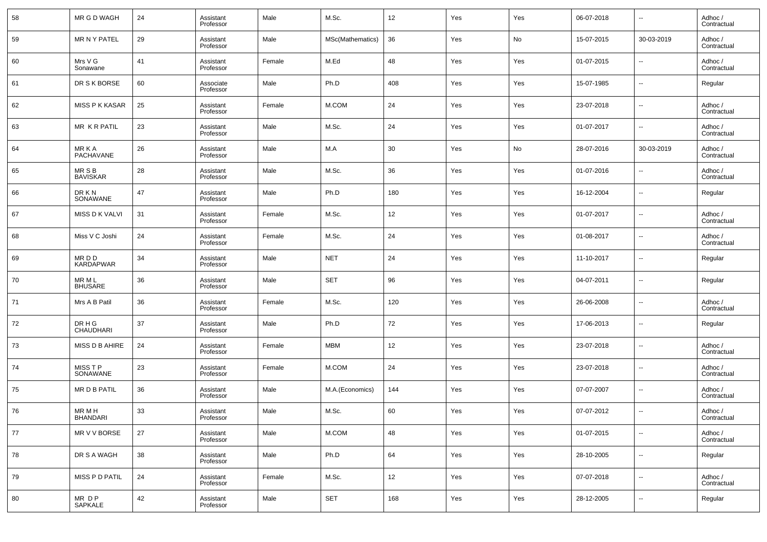| 58 | MR G D WAGH                | 24     | Assistant<br>Professor | Male   | M.Sc.            | 12  | Yes | Yes | 06-07-2018 | $\overline{\phantom{a}}$ | Adhoc /<br>Contractual |
|----|----------------------------|--------|------------------------|--------|------------------|-----|-----|-----|------------|--------------------------|------------------------|
| 59 | <b>MR N Y PATEL</b>        | 29     | Assistant<br>Professor | Male   | MSc(Mathematics) | 36  | Yes | No  | 15-07-2015 | 30-03-2019               | Adhoc /<br>Contractual |
| 60 | Mrs V G<br>Sonawane        | 41     | Assistant<br>Professor | Female | M.Ed             | 48  | Yes | Yes | 01-07-2015 | $\overline{\phantom{a}}$ | Adhoc /<br>Contractual |
| 61 | DR S K BORSE               | 60     | Associate<br>Professor | Male   | Ph.D             | 408 | Yes | Yes | 15-07-1985 | $\overline{\phantom{a}}$ | Regular                |
| 62 | <b>MISS P K KASAR</b>      | 25     | Assistant<br>Professor | Female | M.COM            | 24  | Yes | Yes | 23-07-2018 | $\overline{\phantom{a}}$ | Adhoc /<br>Contractual |
| 63 | MR KR PATIL                | 23     | Assistant<br>Professor | Male   | M.Sc.            | 24  | Yes | Yes | 01-07-2017 | $\overline{\phantom{a}}$ | Adhoc /<br>Contractual |
| 64 | MR K A<br><b>PACHAVANE</b> | 26     | Assistant<br>Professor | Male   | M.A              | 30  | Yes | No  | 28-07-2016 | 30-03-2019               | Adhoc /<br>Contractual |
| 65 | MR S B<br><b>BAVISKAR</b>  | 28     | Assistant<br>Professor | Male   | M.Sc.            | 36  | Yes | Yes | 01-07-2016 | $\overline{\phantom{a}}$ | Adhoc /<br>Contractual |
| 66 | DR K N<br>SONAWANE         | 47     | Assistant<br>Professor | Male   | Ph.D             | 180 | Yes | Yes | 16-12-2004 | $\overline{\phantom{a}}$ | Regular                |
| 67 | MISS D K VALVI             | 31     | Assistant<br>Professor | Female | M.Sc.            | 12  | Yes | Yes | 01-07-2017 | $\overline{\phantom{a}}$ | Adhoc /<br>Contractual |
| 68 | Miss V C Joshi             | 24     | Assistant<br>Professor | Female | M.Sc.            | 24  | Yes | Yes | 01-08-2017 | $\overline{\phantom{a}}$ | Adhoc /<br>Contractual |
| 69 | MR D D<br><b>KARDAPWAR</b> | 34     | Assistant<br>Professor | Male   | <b>NET</b>       | 24  | Yes | Yes | 11-10-2017 | $\overline{\phantom{a}}$ | Regular                |
| 70 | MR M L<br><b>BHUSARE</b>   | 36     | Assistant<br>Professor | Male   | <b>SET</b>       | 96  | Yes | Yes | 04-07-2011 | $\overline{\phantom{a}}$ | Regular                |
| 71 | Mrs A B Patil              | 36     | Assistant<br>Professor | Female | M.Sc.            | 120 | Yes | Yes | 26-06-2008 | $\overline{\phantom{a}}$ | Adhoc /<br>Contractual |
| 72 | DR H G<br><b>CHAUDHARI</b> | 37     | Assistant<br>Professor | Male   | Ph.D             | 72  | Yes | Yes | 17-06-2013 | $\overline{\phantom{a}}$ | Regular                |
| 73 | MISS D B AHIRE             | 24     | Assistant<br>Professor | Female | <b>MBM</b>       | 12  | Yes | Yes | 23-07-2018 | $\overline{\phantom{a}}$ | Adhoc /<br>Contractual |
| 74 | MISS T P<br>SONAWANE       | 23     | Assistant<br>Professor | Female | M.COM            | 24  | Yes | Yes | 23-07-2018 | $\overline{\phantom{a}}$ | Adhoc /<br>Contractual |
| 75 | <b>MR D B PATIL</b>        | 36     | Assistant<br>Professor | Male   | M.A.(Economics)  | 144 | Yes | Yes | 07-07-2007 | $\overline{\phantom{a}}$ | Adhoc /<br>Contractual |
| 76 | MR M H<br>BHANDARI         | 33     | Assistant<br>Professor | Male   | M.Sc.            | 60  | Yes | Yes | 07-07-2012 | $\overline{\phantom{a}}$ | Adhoc /<br>Contractual |
| 77 | MR V V BORSE               | $27\,$ | Assistant<br>Professor | Male   | M.COM            | 48  | Yes | Yes | 01-07-2015 | $\overline{\phantom{a}}$ | Adhoc /<br>Contractual |
| 78 | DR S A WAGH                | 38     | Assistant<br>Professor | Male   | Ph.D             | 64  | Yes | Yes | 28-10-2005 | $\overline{\phantom{a}}$ | Regular                |
| 79 | MISS P D PATIL             | 24     | Assistant<br>Professor | Female | M.Sc.            | 12  | Yes | Yes | 07-07-2018 | $\overline{\phantom{a}}$ | Adhoc /<br>Contractual |
| 80 | MR DP<br>SAPKALE           | 42     | Assistant<br>Professor | Male   | SET              | 168 | Yes | Yes | 28-12-2005 | $\overline{\phantom{a}}$ | Regular                |